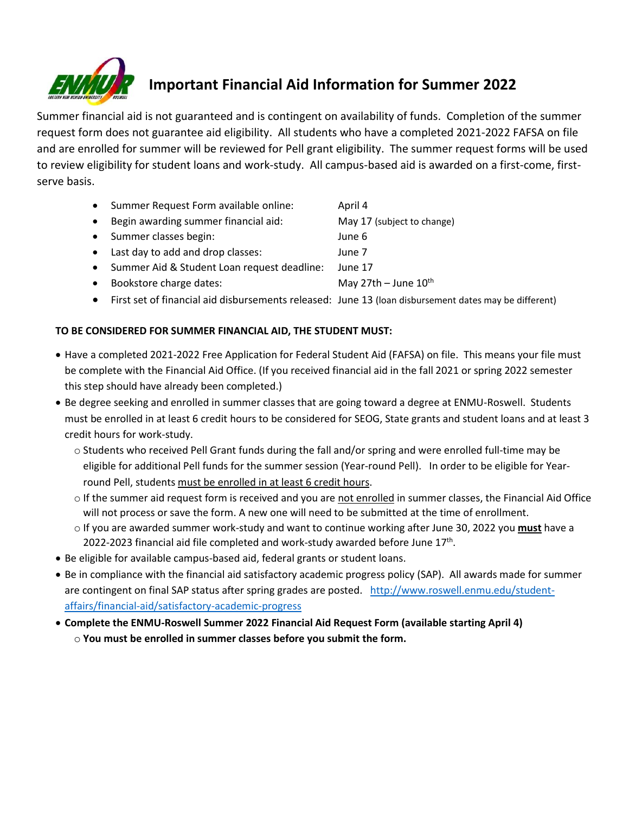

## **Important Financial Aid Information for Summer 2022**

Summer financial aid is not guaranteed and is contingent on availability of funds. Completion of the summer request form does not guarantee aid eligibility. All students who have a completed 2021-2022 FAFSA on file and are enrolled for summer will be reviewed for Pell grant eligibility. The summer request forms will be used to review eligibility for student loans and work-study. All campus-based aid is awarded on a first-come, firstserve basis.

- Summer Request Form available online: April 4
- Begin awarding summer financial aid: May 17 (subject to change)
- Summer classes begin: June 6
- Last day to add and drop classes: June 7
- Summer Aid & Student Loan request deadline: June 17
- Bookstore charge dates:  $\blacksquare$  May 27th June  $10^{th}$
- First set of financial aid disbursements released: June 13 (loan disbursement dates may be different)

## **TO BE CONSIDERED FOR SUMMER FINANCIAL AID, THE STUDENT MUST:**

- Have a completed 2021-2022 Free Application for Federal Student Aid (FAFSA) on file. This means your file must be complete with the Financial Aid Office. (If you received financial aid in the fall 2021 or spring 2022 semester this step should have already been completed.)
- Be degree seeking and enrolled in summer classes that are going toward a degree at ENMU-Roswell. Students must be enrolled in at least 6 credit hours to be considered for SEOG, State grants and student loans and at least 3 credit hours for work-study.
	- o Students who received Pell Grant funds during the fall and/or spring and were enrolled full-time may be eligible for additional Pell funds for the summer session (Year-round Pell). In order to be eligible for Yearround Pell, students must be enrolled in at least 6 credit hours.
	- $\circ$  If the summer aid request form is received and you are not enrolled in summer classes, the Financial Aid Office will not process or save the form. A new one will need to be submitted at the time of enrollment.
	- o If you are awarded summer work-study and want to continue working after June 30, 2022 you **must** have a 2022-2023 financial aid file completed and work-study awarded before June  $17<sup>th</sup>$ .
- Be eligible for available campus-based aid, federal grants or student loans.
- Be in compliance with the financial aid satisfactory academic progress policy (SAP). All awards made for summer are contingent on final SAP status after spring grades are posted. [http://www.roswell.enmu.edu/student](http://www.roswell.enmu.edu/student-affairs/financial-aid/satisfactory-academic-progress)[affairs/financial-aid/satisfactory-academic-progress](http://www.roswell.enmu.edu/student-affairs/financial-aid/satisfactory-academic-progress)
- **Complete the ENMU-Roswell Summer 2022 Financial Aid Request Form (available starting April 4)**  o **You must be enrolled in summer classes before you submit the form.**